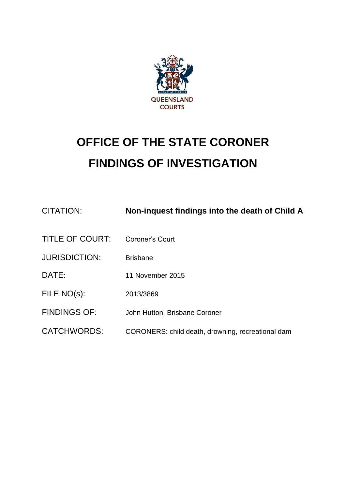

# **OFFICE OF THE STATE CORONER FINDINGS OF INVESTIGATION**

| CITATION:              | Non-inquest findings into the death of Child A    |
|------------------------|---------------------------------------------------|
| <b>TITLE OF COURT:</b> | Coroner's Court                                   |
| <b>JURISDICTION:</b>   | <b>Brisbane</b>                                   |
| DATE:                  | 11 November 2015                                  |
| FILE NO(s):            | 2013/3869                                         |
| <b>FINDINGS OF:</b>    | John Hutton, Brisbane Coroner                     |
| <b>CATCHWORDS:</b>     | CORONERS: child death, drowning, recreational dam |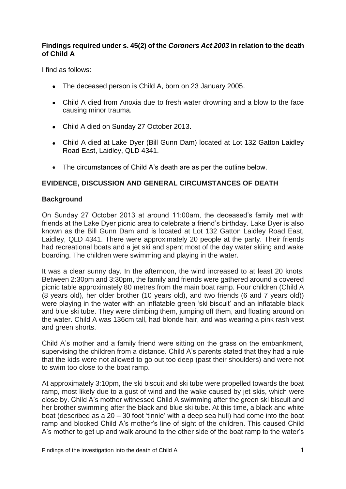## **Findings required under s. 45(2) of the** *Coroners Act 2003* **in relation to the death of Child A**

I find as follows:

- The deceased person is Child A, born on 23 January 2005.
- Child A died from Anoxia due to fresh water drowning and a blow to the face causing minor trauma.
- Child A died on Sunday 27 October 2013.
- Child A died at Lake Dyer (Bill Gunn Dam) located at Lot 132 Gatton Laidley Road East, Laidley, QLD 4341.
- The circumstances of Child A's death are as per the outline below.

## **EVIDENCE, DISCUSSION AND GENERAL CIRCUMSTANCES OF DEATH**

#### **Background**

On Sunday 27 October 2013 at around 11:00am, the deceased's family met with friends at the Lake Dyer picnic area to celebrate a friend's birthday. Lake Dyer is also known as the Bill Gunn Dam and is located at Lot 132 Gatton Laidley Road East, Laidley, QLD 4341. There were approximately 20 people at the party. Their friends had recreational boats and a jet ski and spent most of the day water skiing and wake boarding. The children were swimming and playing in the water.

It was a clear sunny day. In the afternoon, the wind increased to at least 20 knots. Between 2:30pm and 3:30pm, the family and friends were gathered around a covered picnic table approximately 80 metres from the main boat ramp. Four children (Child A (8 years old), her older brother (10 years old), and two friends (6 and 7 years old)) were playing in the water with an inflatable green 'ski biscuit' and an inflatable black and blue ski tube. They were climbing them, jumping off them, and floating around on the water. Child A was 136cm tall, had blonde hair, and was wearing a pink rash vest and green shorts.

Child A's mother and a family friend were sitting on the grass on the embankment, supervising the children from a distance. Child A's parents stated that they had a rule that the kids were not allowed to go out too deep (past their shoulders) and were not to swim too close to the boat ramp.

At approximately 3:10pm, the ski biscuit and ski tube were propelled towards the boat ramp, most likely due to a gust of wind and the wake caused by jet skis, which were close by. Child A's mother witnessed Child A swimming after the green ski biscuit and her brother swimming after the black and blue ski tube. At this time, a black and white boat (described as a 20 – 30 foot 'tinnie' with a deep sea hull) had come into the boat ramp and blocked Child A's mother's line of sight of the children. This caused Child A's mother to get up and walk around to the other side of the boat ramp to the water's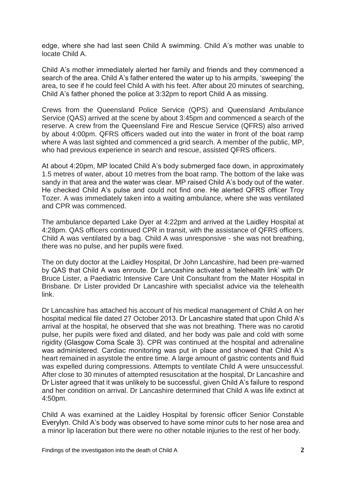edge, where she had last seen Child A swimming. Child A's mother was unable to locate Child A.

Child A's mother immediately alerted her family and friends and they commenced a search of the area. Child A's father entered the water up to his armpits, 'sweeping' the area, to see if he could feel Child A with his feet. After about 20 minutes of searching, Child A's father phoned the police at 3:32pm to report Child A as missing.

Crews from the Queensland Police Service (QPS) and Queensland Ambulance Service (QAS) arrived at the scene by about 3:45pm and commenced a search of the reserve. A crew from the Queensland Fire and Rescue Service (QFRS) also arrived by about 4:00pm. QFRS officers waded out into the water in front of the boat ramp where A was last sighted and commenced a grid search. A member of the public, MP, who had previous experience in search and rescue, assisted QFRS officers.

At about 4:20pm, MP located Child A's body submerged face down, in approximately 1.5 metres of water, about 10 metres from the boat ramp. The bottom of the lake was sandy in that area and the water was clear. MP raised Child A's body out of the water. He checked Child A's pulse and could not find one. He alerted QFRS officer Troy Tozer. A was immediately taken into a waiting ambulance, where she was ventilated and CPR was commenced.

The ambulance departed Lake Dyer at 4:22pm and arrived at the Laidley Hospital at 4:28pm. QAS officers continued CPR in transit, with the assistance of QFRS officers. Child A was ventilated by a bag. Child A was unresponsive - she was not breathing, there was no pulse, and her pupils were fixed.

The on duty doctor at the Laidley Hospital, Dr John Lancashire, had been pre-warned by QAS that Child A was enroute. Dr Lancashire activated a 'telehealth link' with Dr Bruce Lister, a Paediatric Intensive Care Unit Consultant from the Mater Hospital in Brisbane. Dr Lister provided Dr Lancashire with specialist advice via the telehealth link.

Dr Lancashire has attached his account of his medical management of Child A on her hospital medical file dated 27 October 2013. Dr Lancashire stated that upon Child A's arrival at the hospital, he observed that she was not breathing. There was no carotid pulse, her pupils were fixed and dilated, and her body was pale and cold with some rigidity (Glasgow Coma Scale 3). CPR was continued at the hospital and adrenaline was administered. Cardiac monitoring was put in place and showed that Child A's heart remained in asystole the entire time. A large amount of gastric contents and fluid was expelled during compressions. Attempts to ventilate Child A were unsuccessful. After close to 30 minutes of attempted resuscitation at the hospital, Dr Lancashire and Dr Lister agreed that it was unlikely to be successful, given Child A's failure to respond and her condition on arrival. Dr Lancashire determined that Child A was life extinct at 4:50pm.

Child A was examined at the Laidley Hospital by forensic officer Senior Constable Everylyn. Child A's body was observed to have some minor cuts to her nose area and a minor lip laceration but there were no other notable injuries to the rest of her body.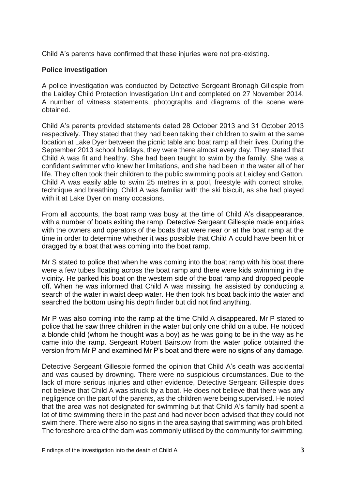Child A's parents have confirmed that these injuries were not pre-existing.

## **Police investigation**

A police investigation was conducted by Detective Sergeant Bronagh Gillespie from the Laidley Child Protection Investigation Unit and completed on 27 November 2014. A number of witness statements, photographs and diagrams of the scene were obtained.

Child A's parents provided statements dated 28 October 2013 and 31 October 2013 respectively. They stated that they had been taking their children to swim at the same location at Lake Dyer between the picnic table and boat ramp all their lives. During the September 2013 school holidays, they were there almost every day. They stated that Child A was fit and healthy. She had been taught to swim by the family. She was a confident swimmer who knew her limitations, and she had been in the water all of her life. They often took their children to the public swimming pools at Laidley and Gatton. Child A was easily able to swim 25 metres in a pool, freestyle with correct stroke, technique and breathing. Child A was familiar with the ski biscuit, as she had played with it at Lake Dyer on many occasions.

From all accounts, the boat ramp was busy at the time of Child A's disappearance, with a number of boats exiting the ramp. Detective Sergeant Gillespie made enquiries with the owners and operators of the boats that were near or at the boat ramp at the time in order to determine whether it was possible that Child A could have been hit or dragged by a boat that was coming into the boat ramp.

Mr S stated to police that when he was coming into the boat ramp with his boat there were a few tubes floating across the boat ramp and there were kids swimming in the vicinity. He parked his boat on the western side of the boat ramp and dropped people off. When he was informed that Child A was missing, he assisted by conducting a search of the water in waist deep water. He then took his boat back into the water and searched the bottom using his depth finder but did not find anything.

Mr P was also coming into the ramp at the time Child A disappeared. Mr P stated to police that he saw three children in the water but only one child on a tube. He noticed a blonde child (whom he thought was a boy) as he was going to be in the way as he came into the ramp. Sergeant Robert Bairstow from the water police obtained the version from Mr P and examined Mr P's boat and there were no signs of any damage.

Detective Sergeant Gillespie formed the opinion that Child A's death was accidental and was caused by drowning. There were no suspicious circumstances. Due to the lack of more serious injuries and other evidence, Detective Sergeant Gillespie does not believe that Child A was struck by a boat. He does not believe that there was any negligence on the part of the parents, as the children were being supervised. He noted that the area was not designated for swimming but that Child A's family had spent a lot of time swimming there in the past and had never been advised that they could not swim there. There were also no signs in the area saying that swimming was prohibited. The foreshore area of the dam was commonly utilised by the community for swimming.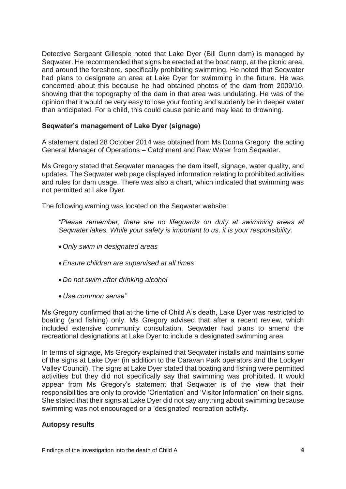Detective Sergeant Gillespie noted that Lake Dyer (Bill Gunn dam) is managed by Seqwater. He recommended that signs be erected at the boat ramp, at the picnic area, and around the foreshore, specifically prohibiting swimming. He noted that Seqwater had plans to designate an area at Lake Dyer for swimming in the future. He was concerned about this because he had obtained photos of the dam from 2009/10, showing that the topography of the dam in that area was undulating. He was of the opinion that it would be very easy to lose your footing and suddenly be in deeper water than anticipated. For a child, this could cause panic and may lead to drowning.

#### **Seqwater's management of Lake Dyer (signage)**

A statement dated 28 October 2014 was obtained from Ms Donna Gregory, the acting General Manager of Operations – Catchment and Raw Water from Seqwater.

Ms Gregory stated that Seqwater manages the dam itself, signage, water quality, and updates. The Seqwater web page displayed information relating to prohibited activities and rules for dam usage. There was also a chart, which indicated that swimming was not permitted at Lake Dyer.

The following warning was located on the Seqwater website:

*"Please remember, there are no lifeguards on duty at swimming areas at Seqwater lakes. While your safety is important to us, it is your responsibility.*

- *Only swim in designated areas*
- *Ensure children are supervised at all times*
- *Do not swim after drinking alcohol*
- *Use common sense"*

Ms Gregory confirmed that at the time of Child A's death, Lake Dyer was restricted to boating (and fishing) only. Ms Gregory advised that after a recent review, which included extensive community consultation, Seqwater had plans to amend the recreational designations at Lake Dyer to include a designated swimming area.

In terms of signage, Ms Gregory explained that Seqwater installs and maintains some of the signs at Lake Dyer (in addition to the Caravan Park operators and the Lockyer Valley Council). The signs at Lake Dyer stated that boating and fishing were permitted activities but they did not specifically say that swimming was prohibited. It would appear from Ms Gregory's statement that Seqwater is of the view that their responsibilities are only to provide 'Orientation' and 'Visitor Information' on their signs. She stated that their signs at Lake Dyer did not say anything about swimming because swimming was not encouraged or a 'designated' recreation activity.

#### **Autopsy results**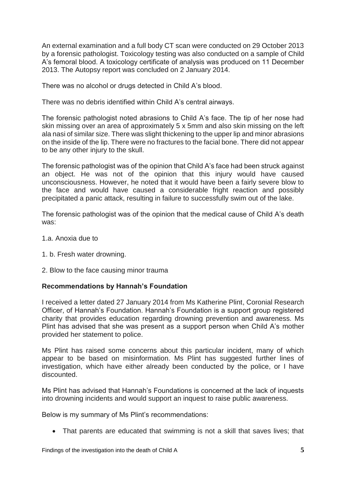An external examination and a full body CT scan were conducted on 29 October 2013 by a forensic pathologist. Toxicology testing was also conducted on a sample of Child A's femoral blood. A toxicology certificate of analysis was produced on 11 December 2013. The Autopsy report was concluded on 2 January 2014.

There was no alcohol or drugs detected in Child A's blood.

There was no debris identified within Child A's central airways.

The forensic pathologist noted abrasions to Child A's face. The tip of her nose had skin missing over an area of approximately 5 x 5mm and also skin missing on the left ala nasi of similar size. There was slight thickening to the upper lip and minor abrasions on the inside of the lip. There were no fractures to the facial bone. There did not appear to be any other injury to the skull.

The forensic pathologist was of the opinion that Child A's face had been struck against an object. He was not of the opinion that this injury would have caused unconsciousness. However, he noted that it would have been a fairly severe blow to the face and would have caused a considerable fright reaction and possibly precipitated a panic attack, resulting in failure to successfully swim out of the lake.

The forensic pathologist was of the opinion that the medical cause of Child A's death was:

- 1.a. Anoxia due to
- 1. b. Fresh water drowning.
- 2. Blow to the face causing minor trauma

#### **Recommendations by Hannah's Foundation**

I received a letter dated 27 January 2014 from Ms Katherine Plint, Coronial Research Officer, of Hannah's Foundation. Hannah's Foundation is a support group registered charity that provides education regarding drowning prevention and awareness. Ms Plint has advised that she was present as a support person when Child A's mother provided her statement to police.

Ms Plint has raised some concerns about this particular incident, many of which appear to be based on misinformation. Ms Plint has suggested further lines of investigation, which have either already been conducted by the police, or I have discounted.

Ms Plint has advised that Hannah's Foundations is concerned at the lack of inquests into drowning incidents and would support an inquest to raise public awareness.

Below is my summary of Ms Plint's recommendations:

That parents are educated that swimming is not a skill that saves lives; that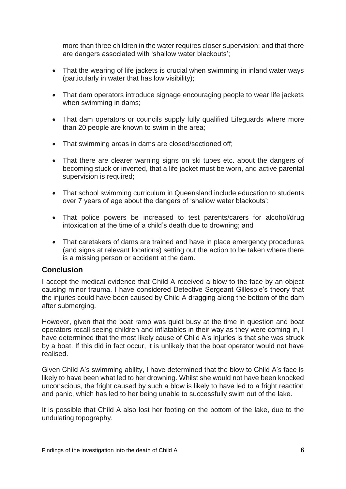more than three children in the water requires closer supervision; and that there are dangers associated with 'shallow water blackouts';

- That the wearing of life jackets is crucial when swimming in inland water ways (particularly in water that has low visibility);
- That dam operators introduce signage encouraging people to wear life jackets when swimming in dams;
- That dam operators or councils supply fully qualified Lifeguards where more than 20 people are known to swim in the area;
- That swimming areas in dams are closed/sectioned off;
- That there are clearer warning signs on ski tubes etc. about the dangers of becoming stuck or inverted, that a life jacket must be worn, and active parental supervision is required;
- That school swimming curriculum in Queensland include education to students over 7 years of age about the dangers of 'shallow water blackouts';
- That police powers be increased to test parents/carers for alcohol/drug intoxication at the time of a child's death due to drowning; and
- That caretakers of dams are trained and have in place emergency procedures (and signs at relevant locations) setting out the action to be taken where there is a missing person or accident at the dam.

# **Conclusion**

I accept the medical evidence that Child A received a blow to the face by an object causing minor trauma. I have considered Detective Sergeant Gillespie's theory that the injuries could have been caused by Child A dragging along the bottom of the dam after submerging.

However, given that the boat ramp was quiet busy at the time in question and boat operators recall seeing children and inflatables in their way as they were coming in, I have determined that the most likely cause of Child A's injuries is that she was struck by a boat. If this did in fact occur, it is unlikely that the boat operator would not have realised.

Given Child A's swimming ability, I have determined that the blow to Child A's face is likely to have been what led to her drowning. Whilst she would not have been knocked unconscious, the fright caused by such a blow is likely to have led to a fright reaction and panic, which has led to her being unable to successfully swim out of the lake.

It is possible that Child A also lost her footing on the bottom of the lake, due to the undulating topography.